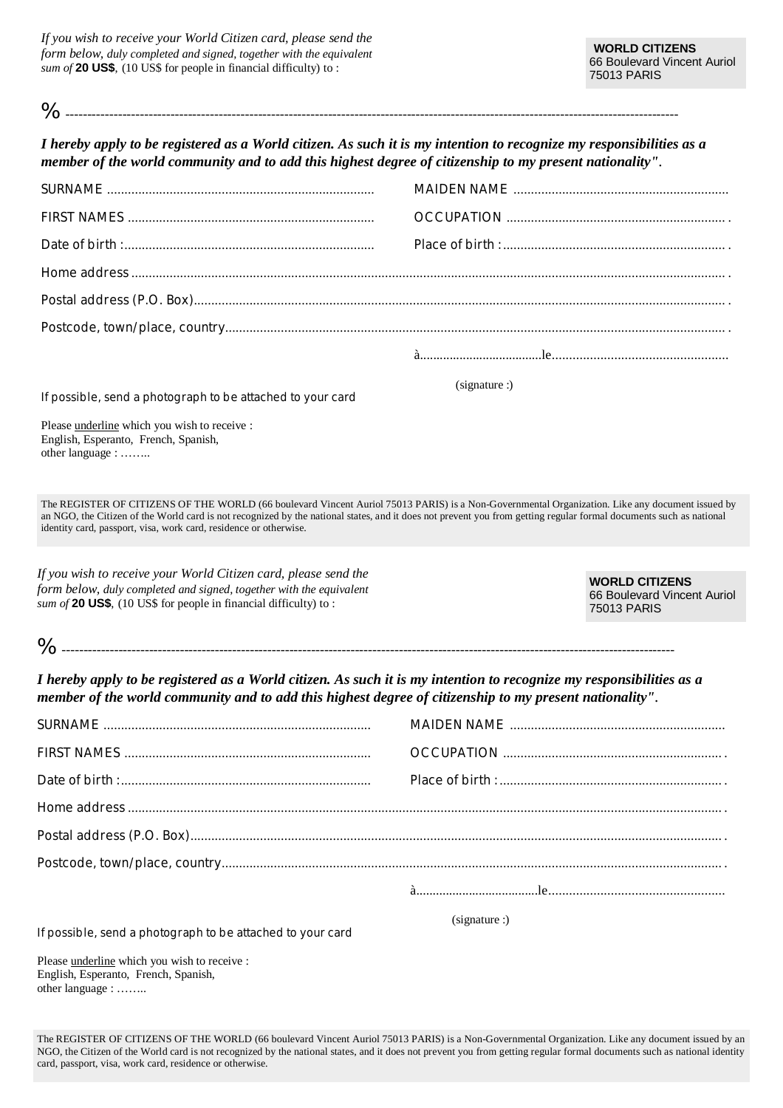*If you wish to receive your World Citizen card, please send the form below, duly completed and signed, together with the equivalent sum of* **20 US\$**, (10 US\$ for people in financial difficulty) to :

| I hereby apply to be registered as a World citizen. As such it is my intention to recognize my responsibilities as a<br>member of the world community and to add this highest degree of citizenship to my present nationality".                                                                                                                                                            |               |                                                                     |
|--------------------------------------------------------------------------------------------------------------------------------------------------------------------------------------------------------------------------------------------------------------------------------------------------------------------------------------------------------------------------------------------|---------------|---------------------------------------------------------------------|
|                                                                                                                                                                                                                                                                                                                                                                                            |               |                                                                     |
|                                                                                                                                                                                                                                                                                                                                                                                            |               |                                                                     |
|                                                                                                                                                                                                                                                                                                                                                                                            |               |                                                                     |
|                                                                                                                                                                                                                                                                                                                                                                                            |               |                                                                     |
|                                                                                                                                                                                                                                                                                                                                                                                            |               |                                                                     |
|                                                                                                                                                                                                                                                                                                                                                                                            |               |                                                                     |
|                                                                                                                                                                                                                                                                                                                                                                                            |               |                                                                     |
| If possible, send a photograph to be attached to your card                                                                                                                                                                                                                                                                                                                                 | (signature :) |                                                                     |
| Please underline which you wish to receive :<br>English, Esperanto, French, Spanish,<br>other language :                                                                                                                                                                                                                                                                                   |               |                                                                     |
| The REGISTER OF CITIZENS OF THE WORLD (66 boulevard Vincent Auriol 75013 PARIS) is a Non-Governmental Organization. Like any document issued by<br>an NGO, the Citizen of the World card is not recognized by the national states, and it does not prevent you from getting regular formal documents such as national<br>identity card, passport, visa, work card, residence or otherwise. |               |                                                                     |
|                                                                                                                                                                                                                                                                                                                                                                                            |               |                                                                     |
| If you wish to receive your World Citizen card, please send the<br>form below, duly completed and signed, together with the equivalent<br>sum of 20 US\$, $(10 \text{ US}\$$ for people in financial difficulty) to:                                                                                                                                                                       |               | <b>WORLD CITIZENS</b><br>66 Boulevard Vincent Auriol<br>75013 PARIS |
|                                                                                                                                                                                                                                                                                                                                                                                            |               |                                                                     |
| I hereby apply to be registered as a World citizen. As such it is my intention to recognize my responsibilities as a<br>member of the world community and to add this highest degree of citizenship to my present nationality".                                                                                                                                                            |               |                                                                     |
|                                                                                                                                                                                                                                                                                                                                                                                            |               |                                                                     |
|                                                                                                                                                                                                                                                                                                                                                                                            |               |                                                                     |

| (signature: ) |
|---------------|

If possible, send a photograph to be attached to your card

Please underline which you wish to receive : English, Esperanto, French, Spanish, other language : ……..

The REGISTER OF CITIZENS OF THE WORLD (66 boulevard Vincent Auriol 75013 PARIS) is a Non-Governmental Organization. Like any document issued by an NGO, the Citizen of the World card is not recognized by the national states, and it does not prevent you from getting regular formal documents such as national identity card, passport, visa, work card, residence or otherwise.